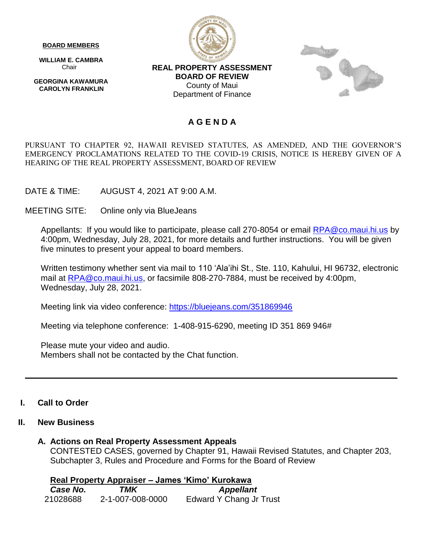**BOARD MEMBERS**

 **WILLIAM E. CAMBRA** Chair

 **GEORGINA KAWAMURA CAROLYN FRANKLIN**



**REAL PROPERTY ASSESSMENT BOARD OF REVIEW** County of Maui Department of Finance



## **A G E N D A**

PURSUANT TO CHAPTER 92, HAWAII REVISED STATUTES, AS AMENDED, AND THE GOVERNOR'S EMERGENCY PROCLAMATIONS RELATED TO THE COVID-19 CRISIS, NOTICE IS HEREBY GIVEN OF A HEARING OF THE REAL PROPERTY ASSESSMENT, BOARD OF REVIEW

DATE & TIME: AUGUST 4, 2021 AT 9:00 A.M.

MEETING SITE: Online only via BlueJeans

Appellants: If you would like to participate, please call 270-8054 or email [RPA@co.maui.hi.us](mailto:RPA@co.maui.hi.us) by 4:00pm, Wednesday, July 28, 2021, for more details and further instructions. You will be given five minutes to present your appeal to board members.

Written testimony whether sent via mail to 110 'Ala'ihi St., Ste. 110, Kahului, HI 96732, electronic mail at [RPA@co.maui.hi.us,](mailto:RPA@co.maui.hi.us) or facsimile 808-270-7884, must be received by 4:00pm, Wednesday, July 28, 2021.

Meeting link via video conference:<https://bluejeans.com/351869946>

Meeting via telephone conference: 1-408-915-6290, meeting ID 351 869 946#

Please mute your video and audio. Members shall not be contacted by the Chat function.

### **I. Call to Order**

### **II. New Business**

### **A. Actions on Real Property Assessment Appeals**

CONTESTED CASES, governed by Chapter 91, Hawaii Revised Statutes, and Chapter 203, Subchapter 3, Rules and Procedure and Forms for the Board of Review

**\_\_\_\_\_\_\_\_\_\_\_\_\_\_\_\_\_\_\_\_\_\_\_\_\_\_\_\_\_\_\_\_\_\_\_\_\_\_\_\_\_\_\_\_\_\_\_\_\_\_\_\_\_\_\_\_\_\_\_\_\_\_\_\_\_\_\_\_\_\_\_\_\_\_\_\_\_\_\_\_**

**Real Property Appraiser – James 'Kimo' Kurokawa** 

| Case No. | TMK              | <b>Appellant</b>               |
|----------|------------------|--------------------------------|
| 21028688 | 2-1-007-008-0000 | <b>Edward Y Chang Jr Trust</b> |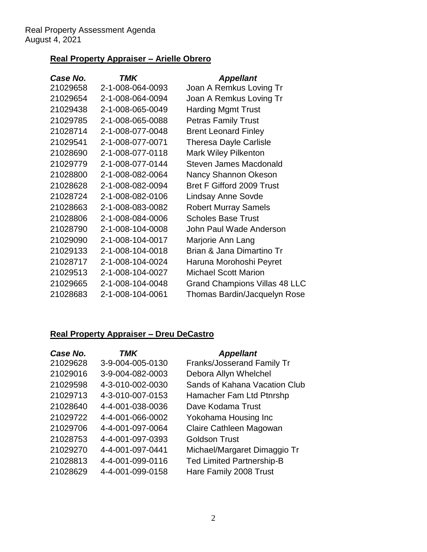## **Real Property Appraiser – Arielle Obrero**

| Case No. | TMK              | <b>Appellant</b>                     |
|----------|------------------|--------------------------------------|
| 21029658 | 2-1-008-064-0093 | Joan A Remkus Loving Tr              |
| 21029654 | 2-1-008-064-0094 | Joan A Remkus Loving Tr              |
| 21029438 | 2-1-008-065-0049 | <b>Harding Mgmt Trust</b>            |
| 21029785 | 2-1-008-065-0088 | <b>Petras Family Trust</b>           |
| 21028714 | 2-1-008-077-0048 | <b>Brent Leonard Finley</b>          |
| 21029541 | 2-1-008-077-0071 | <b>Theresa Dayle Carlisle</b>        |
| 21028690 | 2-1-008-077-0118 | <b>Mark Wiley Pilkenton</b>          |
| 21029779 | 2-1-008-077-0144 | <b>Steven James Macdonald</b>        |
| 21028800 | 2-1-008-082-0064 | Nancy Shannon Okeson                 |
| 21028628 | 2-1-008-082-0094 | <b>Bret F Gifford 2009 Trust</b>     |
| 21028724 | 2-1-008-082-0106 | <b>Lindsay Anne Sovde</b>            |
| 21028663 | 2-1-008-083-0082 | <b>Robert Murray Samels</b>          |
| 21028806 | 2-1-008-084-0006 | <b>Scholes Base Trust</b>            |
| 21028790 | 2-1-008-104-0008 | John Paul Wade Anderson              |
| 21029090 | 2-1-008-104-0017 | Marjorie Ann Lang                    |
| 21029133 | 2-1-008-104-0018 | Brian & Jana Dimartino Tr            |
| 21028717 | 2-1-008-104-0024 | Haruna Morohoshi Peyret              |
| 21029513 | 2-1-008-104-0027 | <b>Michael Scott Marion</b>          |
| 21029665 | 2-1-008-104-0048 | <b>Grand Champions Villas 48 LLC</b> |
| 21028683 | 2-1-008-104-0061 | Thomas Bardin/Jacquelyn Rose         |
|          |                  |                                      |

# **Real Property Appraiser – Dreu DeCastro**

| Case No. | <b>TMK</b>       | <b>Appellant</b>                  |
|----------|------------------|-----------------------------------|
| 21029628 | 3-9-004-005-0130 | <b>Franks/Josserand Family Tr</b> |
| 21029016 | 3-9-004-082-0003 | Debora Allyn Whelchel             |
| 21029598 | 4-3-010-002-0030 | Sands of Kahana Vacation Club     |
| 21029713 | 4-3-010-007-0153 | Hamacher Fam Ltd Ptnrshp          |
| 21028640 | 4-4-001-038-0036 | Dave Kodama Trust                 |
| 21029722 | 4-4-001-066-0002 | Yokohama Housing Inc              |
| 21029706 | 4-4-001-097-0064 | Claire Cathleen Magowan           |
| 21028753 | 4-4-001-097-0393 | <b>Goldson Trust</b>              |
| 21029270 | 4-4-001-097-0441 | Michael/Margaret Dimaggio Tr      |
| 21028813 | 4-4-001-099-0116 | <b>Ted Limited Partnership-B</b>  |
| 21028629 | 4-4-001-099-0158 | Hare Family 2008 Trust            |
|          |                  |                                   |